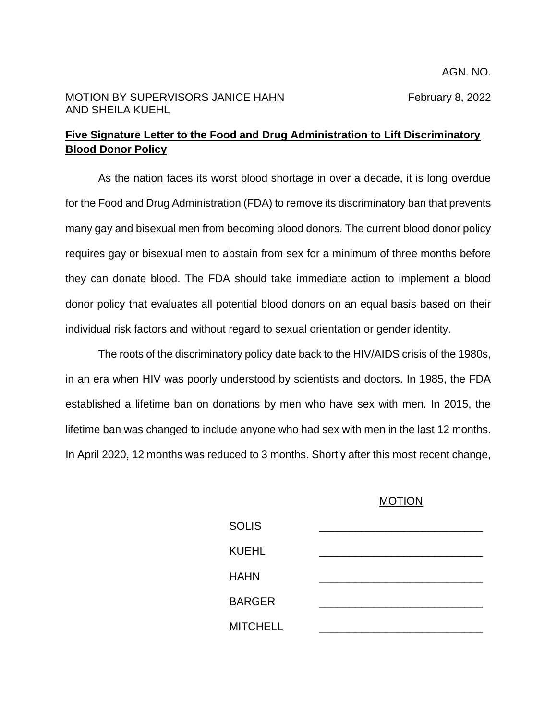## **Five Signature Letter to the Food and Drug Administration to Lift Discriminatory Blood Donor Policy**

As the nation faces its worst blood shortage in over a decade, it is long overdue for the Food and Drug Administration (FDA) to remove its discriminatory ban that prevents many gay and bisexual men from becoming blood donors. The current blood donor policy requires gay or bisexual men to abstain from sex for a minimum of three months before they can donate blood. The FDA should take immediate action to implement a blood donor policy that evaluates all potential blood donors on an equal basis based on their individual risk factors and without regard to sexual orientation or gender identity.

The roots of the discriminatory policy date back to the HIV/AIDS crisis of the 1980s, in an era when HIV was poorly understood by scientists and doctors. In 1985, the FDA established a lifetime ban on donations by men who have sex with men. In 2015, the lifetime ban was changed to include anyone who had sex with men in the last 12 months. In April 2020, 12 months was reduced to 3 months. Shortly after this most recent change,

## MOTION

| <b>SOLIS</b>    |  |
|-----------------|--|
| <b>KUEHL</b>    |  |
| <b>HAHN</b>     |  |
| <b>BARGER</b>   |  |
| <b>MITCHELL</b> |  |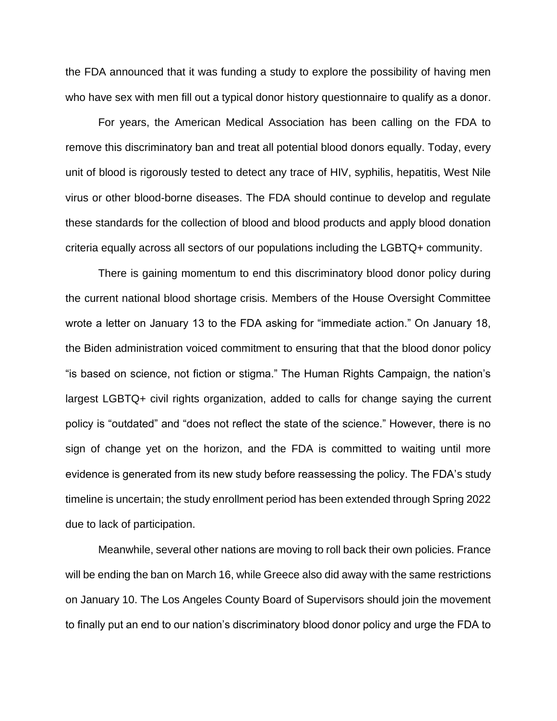the FDA announced that it was funding a study to explore the possibility of having men who have sex with men fill out a typical donor history questionnaire to qualify as a donor.

For years, the American Medical Association has been calling on the FDA to remove this discriminatory ban and treat all potential blood donors equally. Today, every unit of blood is rigorously tested to detect any trace of HIV, syphilis, hepatitis, West Nile virus or other blood-borne diseases. The FDA should continue to develop and regulate these standards for the collection of blood and blood products and apply blood donation criteria equally across all sectors of our populations including the LGBTQ+ community.

There is gaining momentum to end this discriminatory blood donor policy during the current national blood shortage crisis. Members of the House Oversight Committee wrote a letter on January 13 to the FDA asking for "immediate action." On January 18, the Biden administration voiced commitment to ensuring that that the blood donor policy "is based on science, not fiction or stigma." The Human Rights Campaign, the nation's largest LGBTQ+ civil rights organization, added to calls for change saying the current policy is "outdated" and "does not reflect the state of the science." However, there is no sign of change yet on the horizon, and the FDA is committed to waiting until more evidence is generated from its new study before reassessing the policy. The FDA's study timeline is uncertain; the study enrollment period has been extended through Spring 2022 due to lack of participation.

Meanwhile, several other nations are moving to roll back their own policies. France will be ending the ban on March 16, while Greece also did away with the same restrictions on January 10. The Los Angeles County Board of Supervisors should join the movement to finally put an end to our nation's discriminatory blood donor policy and urge the FDA to